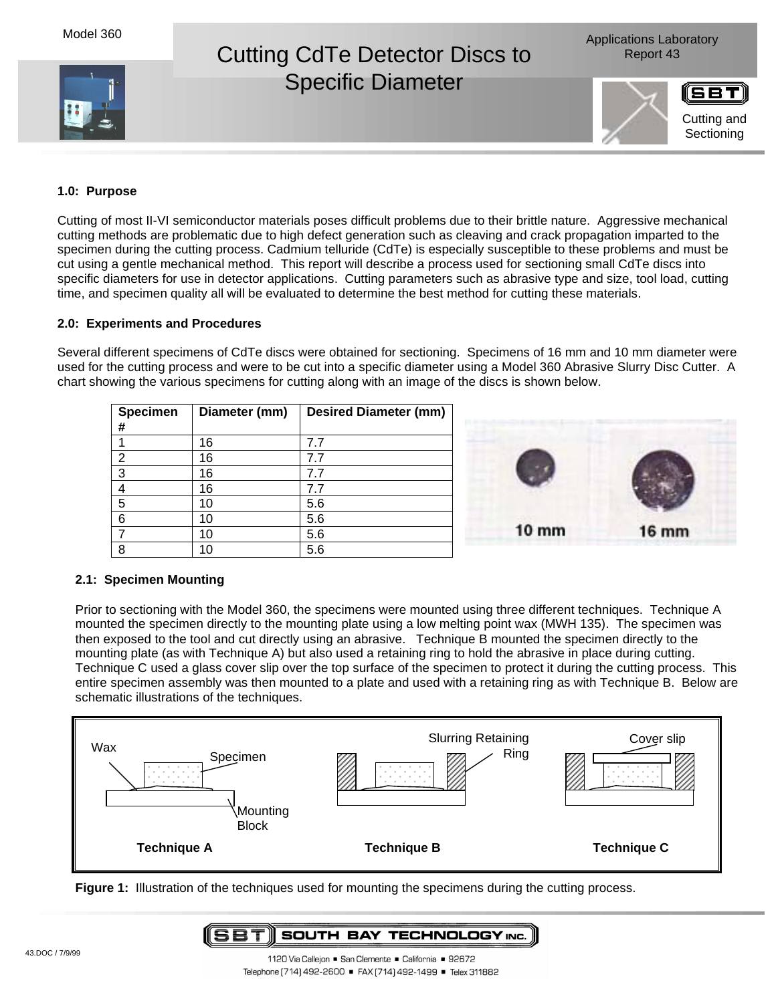Model 360





Cutting and **Sectioning** 

# **1.0: Purpose**

Cutting of most II-VI semiconductor materials poses difficult problems due to their brittle nature. Aggressive mechanical cutting methods are problematic due to high defect generation such as cleaving and crack propagation imparted to the specimen during the cutting process. Cadmium telluride (CdTe) is especially susceptible to these problems and must be cut using a gentle mechanical method. This report will describe a process used for sectioning small CdTe discs into specific diameters for use in detector applications. Cutting parameters such as abrasive type and size, tool load, cutting time, and specimen quality all will be evaluated to determine the best method for cutting these materials.

## **2.0: Experiments and Procedures**

Several different specimens of CdTe discs were obtained for sectioning. Specimens of 16 mm and 10 mm diameter were used for the cutting process and were to be cut into a specific diameter using a Model 360 Abrasive Slurry Disc Cutter. A chart showing the various specimens for cutting along with an image of the discs is shown below.

| Specimen<br>#  | Diameter (mm) | <b>Desired Diameter (mm)</b> |
|----------------|---------------|------------------------------|
|                | 16            | 7.7                          |
| $\overline{2}$ | 16            | 7.7                          |
| 3              | 16            | 7.7                          |
| 4              | 16            | 7.7                          |
| 5              | 10            | 5.6                          |
| 6              | 10            | 5.6                          |
|                | 10            | 5.6                          |
| 8              | 10            | 5.6                          |



#### **2.1: Specimen Mounting**

Prior to sectioning with the Model 360, the specimens were mounted using three different techniques. Technique A mounted the specimen directly to the mounting plate using a low melting point wax (MWH 135). The specimen was then exposed to the tool and cut directly using an abrasive. Technique B mounted the specimen directly to the mounting plate (as with Technique A) but also used a retaining ring to hold the abrasive in place during cutting. Technique C used a glass cover slip over the top surface of the specimen to protect it during the cutting process. This entire specimen assembly was then mounted to a plate and used with a retaining ring as with Technique B. Below are schematic illustrations of the techniques.



**Figure 1:** Illustration of the techniques used for mounting the specimens during the cutting process.